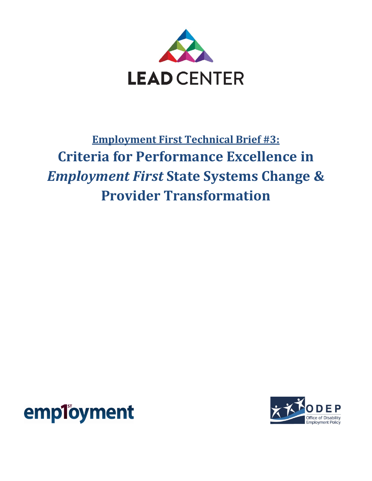

# **Employment First Technical Brief #3: Criteria for Performance Excellence in** *Employment First* **State Systems Change & Provider Transformation**



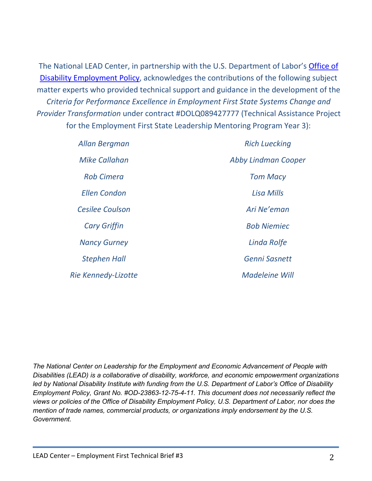The National LEAD Center, in partnership with the U.S. Department of Labor's **Office of** [Disability Employment Policy,](http://www.dol.gov/odep/) acknowledges the contributions of the following subject matter experts who provided technical support and guidance in the development of the *Criteria for Performance Excellence in Employment First State Systems Change and Provider Transformation* under contract #DOLQ089427777 (Technical Assistance Project for the Employment First State Leadership Mentoring Program Year 3):

| Allan Bergman          | <b>Rich Luecking</b>  |  |
|------------------------|-----------------------|--|
| Mike Callahan          | Abby Lindman Cooper   |  |
| <b>Rob Cimera</b>      | <b>Tom Macy</b>       |  |
| <b>Ellen Condon</b>    | <b>Lisa Mills</b>     |  |
| <b>Cesilee Coulson</b> | Ari Ne'eman           |  |
| <b>Cary Griffin</b>    | <b>Bob Niemiec</b>    |  |
| <b>Nancy Gurney</b>    | Linda Rolfe           |  |
| <b>Stephen Hall</b>    | <b>Genni Sasnett</b>  |  |
| Rie Kennedy-Lizotte    | <b>Madeleine Will</b> |  |

*The National Center on Leadership for the Employment and Economic Advancement of People with Disabilities (LEAD) is a collaborative of disability, workforce, and economic empowerment organizations led by National Disability Institute with funding from the U.S. Department of Labor's Office of Disability Employment Policy, Grant No. #OD-23863-12-75-4-11. This document does not necessarily reflect the views or policies of the Office of Disability Employment Policy, U.S. Department of Labor, nor does the mention of trade names, commercial products, or organizations imply endorsement by the U.S. Government.*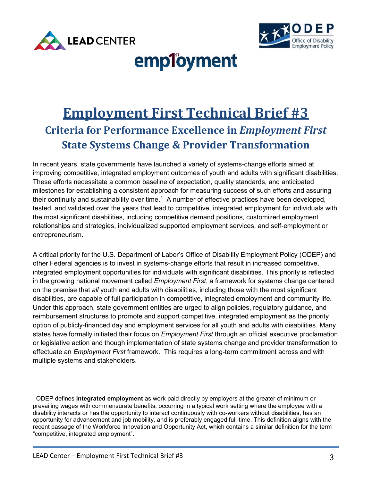



# employment

# **Employment First Technical Brief #3 Criteria for Performance Excellence in** *Employment First* **State Systems Change & Provider Transformation**

their continuity and sustainability over time.<sup>[1](#page-2-0)</sup> A number of effective practices have been developed, In recent years, state governments have launched a variety of systems-change efforts aimed at improving competitive, integrated employment outcomes of youth and adults with significant disabilities. These efforts necessitate a common baseline of expectation, quality standards, and anticipated milestones for establishing a consistent approach for measuring success of such efforts and assuring tested, and validated over the years that lead to competitive, integrated employment for individuals with the most significant disabilities, including competitive demand positions, customized employment relationships and strategies, individualized supported employment services, and self-employment or entrepreneurism.

A critical priority for the U.S. Department of Labor's Office of Disability Employment Policy (ODEP) and other Federal agencies is to invest in systems-change efforts that result in increased competitive, integrated employment opportunities for individuals with significant disabilities. This priority is reflected in the growing national movement called *Employment First*, a framework for systems change centered on the premise that *all* youth and adults with disabilities, including those with the most significant disabilities, are capable of full participation in competitive, integrated employment and community life. Under this approach, state government entities are urged to align policies, regulatory guidance, and reimbursement structures to promote and support competitive, integrated employment as the priority option of publicly-financed day and employment services for all youth and adults with disabilities. Many states have formally initiated their focus on *Employment First* through an official executive proclamation or legislative action and though implementation of state systems change and provider transformation to effectuate an *Employment First* framework. This requires a long-term commitment across and with multiple systems and stakeholders.

 $\overline{\phantom{a}}$ 

<span id="page-2-0"></span><sup>1</sup> ODEP defines **integrated employment** as work paid directly by employers at the greater of minimum or prevailing wages with commensurate benefits, occurring in a typical work setting where the employee with a disability interacts or has the opportunity to interact continuously with co-workers without disabilities, has an opportunity for advancement and job mobility, and is preferably engaged full-time. This definition aligns with the recent passage of the Workforce Innovation and Opportunity Act, which contains a similar definition for the term "competitive, integrated employment".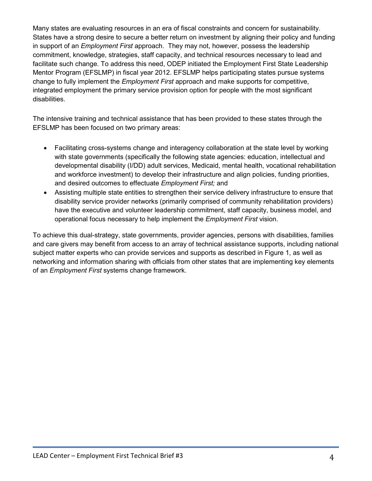Many states are evaluating resources in an era of fiscal constraints and concern for sustainability. States have a strong desire to secure a better return on investment by aligning their policy and funding in support of an *Employment First* approach. They may not, however, possess the leadership commitment, knowledge, strategies, staff capacity, and technical resources necessary to lead and facilitate such change. To address this need, ODEP initiated the Employment First State Leadership Mentor Program (EFSLMP) in fiscal year 2012. EFSLMP helps participating states pursue systems change to fully implement the *Employment First* approach and make supports for competitive, integrated employment the primary service provision option for people with the most significant disabilities.

The intensive training and technical assistance that has been provided to these states through the EFSLMP has been focused on two primary areas:

- Facilitating cross-systems change and interagency collaboration at the state level by working with state governments (specifically the following state agencies: education, intellectual and developmental disability (I/DD) adult services, Medicaid, mental health, vocational rehabilitation and workforce investment) to develop their infrastructure and align policies, funding priorities, and desired outcomes to effectuate *Employment First;* and
- Assisting multiple state entities to strengthen their service delivery infrastructure to ensure that disability service provider networks (primarily comprised of community rehabilitation providers) have the executive and volunteer leadership commitment, staff capacity, business model, and operational focus necessary to help implement the *Employment First* vision.

To achieve this dual-strategy, state governments, provider agencies, persons with disabilities, families and care givers may benefit from access to an array of technical assistance supports, including national subject matter experts who can provide services and supports as described in Figure 1, as well as networking and information sharing with officials from other states that are implementing key elements of an *Employment First* systems change framework.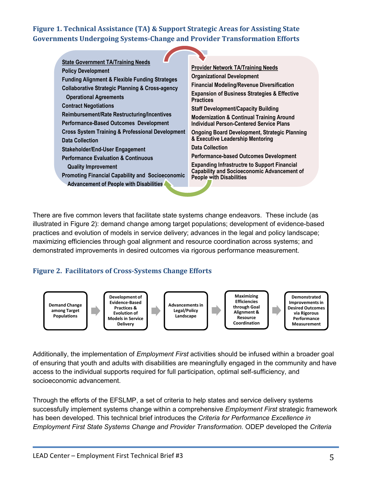# **Figure 1. Technical Assistance (TA) & Support Strategic Areas for Assisting State Governments Undergoing Systems-Change and Provider Transformation Efforts**

| <b>State Government TA/Training Needs</b>                                                                                       |                                                                                                                                                                                                     |
|---------------------------------------------------------------------------------------------------------------------------------|-----------------------------------------------------------------------------------------------------------------------------------------------------------------------------------------------------|
| <b>Policy Development</b>                                                                                                       | <b>Provider Network TA/Training Needs</b>                                                                                                                                                           |
| <b>Funding Alignment &amp; Flexible Funding Strateges</b>                                                                       | <b>Organizational Development</b>                                                                                                                                                                   |
| <b>Collaborative Strategic Planning &amp; Cross-agency</b>                                                                      | <b>Financial Modeling/Revenue Diversification</b>                                                                                                                                                   |
| <b>Operational Agreements</b>                                                                                                   | <b>Expansion of Business Strategies &amp; Effective</b>                                                                                                                                             |
| <b>Contract Negotiations</b>                                                                                                    | <b>Practices</b>                                                                                                                                                                                    |
| Reimbursement/Rate Restructuring/Incentives                                                                                     | <b>Staff Development/Capacity Building</b>                                                                                                                                                          |
| Performance-Based Outcomes Development<br><b>Cross System Training &amp; Professional Development</b><br><b>Data Collection</b> | <b>Modernization &amp; Continual Training Around</b><br><b>Individual Person-Centered Service Plans</b><br><b>Ongoing Board Development, Strategic Planning</b><br>& Executive Leadership Mentoring |
| Stakeholder/End-User Engagement                                                                                                 | <b>Data Collection</b>                                                                                                                                                                              |
| <b>Performance Evaluation &amp; Continuous</b>                                                                                  | <b>Performance-based Outcomes Development</b>                                                                                                                                                       |
| <b>Quality Improvement</b>                                                                                                      | <b>Expanding Infrastructre to Support Financial</b>                                                                                                                                                 |
| <b>Promoting Financial Capability and Socioeconomic</b>                                                                         | <b>Capability and Socioeconomic Advancement of</b>                                                                                                                                                  |
| <b>Advancement of People with Disabilities</b>                                                                                  | <b>People with Disabilities</b>                                                                                                                                                                     |

There are five common levers that facilitate state systems change endeavors. These include (as illustrated in Figure 2): demand change among target populations; development of evidence-based practices and evolution of models in service delivery; advances in the legal and policy landscape; maximizing efficiencies through goal alignment and resource coordination across systems; and demonstrated improvements in desired outcomes via rigorous performance measurement.

### **Figure 2. Facilitators of Cross-Systems Change Efforts**



Additionally, the implementation of *Employment First* activities should be infused within a broader goal of ensuring that youth and adults with disabilities are meaningfully engaged in the community and have access to the individual supports required for full participation, optimal self-sufficiency, and socioeconomic advancement.

Through the efforts of the EFSLMP, a set of criteria to help states and service delivery systems successfully implement systems change within a comprehensive *Employment First* strategic framework has been developed. This technical brief introduces the *Criteria for Performance Excellence in Employment First State Systems Change and Provider Transformation.* ODEP developed the *Criteria*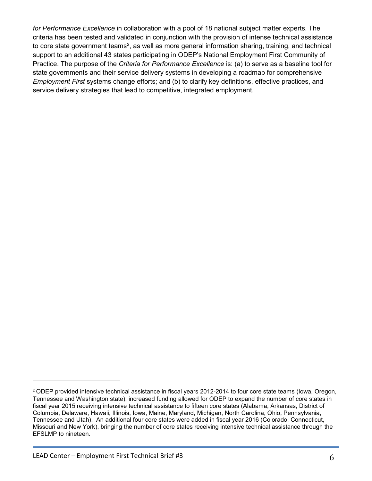*for Performance Excellence* in collaboration with a pool of 18 national subject matter experts. The criteria has been tested and validated in conjunction with the provision of intense technical assistance to core state government teams<sup>[2](#page-5-0)</sup>, as well as more general information sharing, training, and technical support to an additional 43 states participating in ODEP's National Employment First Community of Practice. The purpose of the *Criteria for Performance Excellence* is: (a) to serve as a baseline tool for state governments and their service delivery systems in developing a roadmap for comprehensive *Employment First* systems change efforts; and (b) to clarify key definitions, effective practices, and service delivery strategies that lead to competitive, integrated employment.

 $\overline{a}$ 

<span id="page-5-0"></span><sup>&</sup>lt;sup>2</sup> ODEP provided intensive technical assistance in fiscal years 2012-2014 to four core state teams (Iowa, Oregon, Tennessee and Washington state); increased funding allowed for ODEP to expand the number of core states in fiscal year 2015 receiving intensive technical assistance to fifteen core states (Alabama, Arkansas, District of Columbia, Delaware, Hawaii, Illinois, Iowa, Maine, Maryland, Michigan, North Carolina, Ohio, Pennsylvania, Tennessee and Utah). An additional four core states were added in fiscal year 2016 (Colorado, Connecticut, Missouri and New York), bringing the number of core states receiving intensive technical assistance through the EFSLMP to nineteen.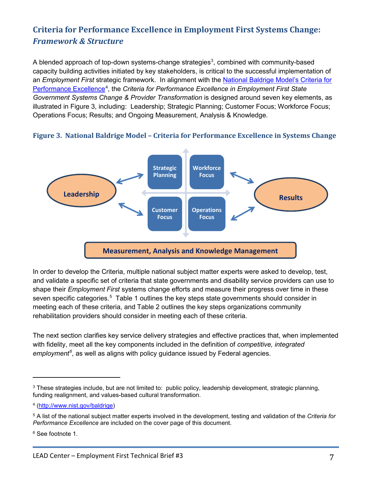# **Criteria for Performance Excellence in Employment First Systems Change:**  *Framework & Structure*

A blended approach of top-down systems-change strategies<sup>3</sup>, combined with community-based capacity building activities initiated by key stakeholders, is critical to the successful implementation of an *Employment First* strategic framework. In alignment with the [National Baldrige Model's Criteria for](http://www.nist.gov/baldrige)  [Performance Excellence](http://www.nist.gov/baldrige)<sup>[4](#page-6-1)</sup>, the Criteria for Performance Excellence in Employment First State *Government Systems Change & Provider Transformation* is designed around seven key elements, as illustrated in Figure 3, including: Leadership; Strategic Planning; Customer Focus; Workforce Focus; Operations Focus; Results; and Ongoing Measurement, Analysis & Knowledge.





In order to develop the Criteria, multiple national subject matter experts were asked to develop, test, and validate a specific set of criteria that state governments and disability service providers can use to shape their *Employment First* systems change efforts and measure their progress over time in these seven specific categories.<sup>[5](#page-6-2)</sup> Table 1 outlines the key steps state governments should consider in meeting each of these criteria, and Table 2 outlines the key steps organizations community rehabilitation providers should consider in meeting each of these criteria.

The next section clarifies key service delivery strategies and effective practices that, when implemented with fidelity, meet all the key components included in the definition of *competitive, integrated employment[6](#page-6-3)* , as well as aligns with policy guidance issued by Federal agencies.

 $\overline{\phantom{a}}$ 

<span id="page-6-0"></span><sup>3</sup> These strategies include, but are not limited to: public policy, leadership development, strategic planning, funding realignment, and values-based cultural transformation.

<span id="page-6-1"></span><sup>4</sup> [\(http://www.nist.gov/baldrige\)](http://www.nist.gov/baldrige)

<span id="page-6-2"></span><sup>5</sup> A list of the national subject matter experts involved in the development, testing and validation of the *Criteria for Performance Excellence* are included on the cover page of this document.

<span id="page-6-3"></span><sup>6</sup> See footnote 1.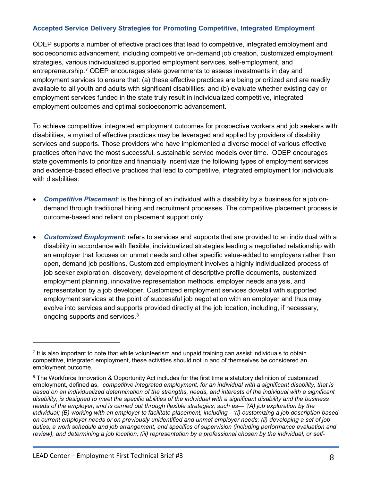#### **Accepted Service Delivery Strategies for Promoting Competitive, Integrated Employment**

ODEP supports a number of effective practices that lead to competitive, integrated employment and socioeconomic advancement, including competitive on-demand job creation, customized employment strategies, various individualized supported employment services, self-employment, and entrepreneurship.[7](#page-7-0) ODEP encourages state governments to assess investments in day and employment services to ensure that: (a) these effective practices are being prioritized and are readily available to all youth and adults with significant disabilities; and (b) evaluate whether existing day or employment services funded in the state truly result in individualized competitive, integrated employment outcomes and optimal socioeconomic advancement.

To achieve competitive, integrated employment outcomes for prospective workers and job seekers with disabilities, a myriad of effective practices may be leveraged and applied by providers of disability services and supports. Those providers who have implemented a diverse model of various effective practices often have the most successful, sustainable service models over time. ODEP encourages state governments to prioritize and financially incentivize the following types of employment services and evidence-based effective practices that lead to competitive, integrated employment for individuals with disabilities:

- *Competitive Placement*: is the hiring of an individual with a disability by a business for a job ondemand through traditional hiring and recruitment processes. The competitive placement process is outcome-based and reliant on placement support only.
- *Customized Employment***:** refers to services and supports that are provided to an individual with a disability in accordance with flexible, individualized strategies leading a negotiated relationship with an employer that focuses on unmet needs and other specific value-added to employers rather than open, demand job positions. Customized employment involves a highly individualized process of job seeker exploration, discovery, development of descriptive profile documents, customized employment planning, innovative representation methods, employer needs analysis, and representation by a job developer. Customized employment services dovetail with supported employment services at the point of successful job negotiation with an employer and thus may evolve into services and supports provided directly at the job location, including, if necessary, ongoing supports and services.<sup>[8](#page-7-1)</sup>

 $\overline{\phantom{a}}$ 

<span id="page-7-0"></span><sup>&</sup>lt;sup>7</sup> It is also important to note that while volunteerism and unpaid training can assist individuals to obtain competitive, integrated employment, these activities should not in and of themselves be considered an employment outcome.

<span id="page-7-1"></span><sup>&</sup>lt;sup>8</sup> The Workforce Innovation & Opportunity Act includes for the first time a statutory definition of customized employment, defined as, "*competitive integrated employment, for an individual with a significant disability, that is based on an individualized determination of the strengths, needs, and interests of the individual with a significant disability, is designed to meet the specific abilities of the individual with a significant disability and the business needs of the employer, and is carried out through flexible strategies, such as— '(A) job exploration by the individual; (B) working with an employer to facilitate placement, including—'(i) customizing a job description based on current employer needs or on previously unidentified and unmet employer needs; (ii) developing a set of job duties, a work schedule and job arrangement, and specifics of supervision (including performance evaluation and review), and determining a job location; (iii) representation by a professional chosen by the individual, or self-*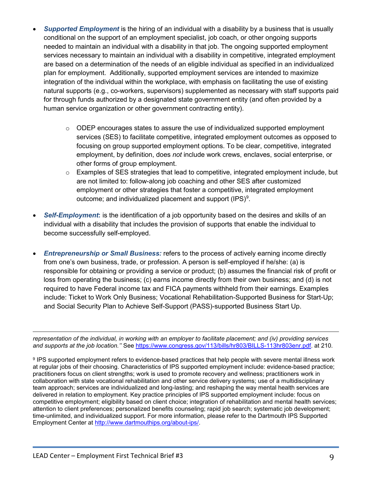- *Supported Employment* is the hiring of an individual with a disability by a business that is usually conditional on the support of an employment specialist, job coach, or other ongoing supports needed to maintain an individual with a disability in that job. The ongoing supported employment services necessary to maintain an individual with a disability in competitive, integrated employment are based on a determination of the needs of an eligible individual as specified in an individualized plan for employment. Additionally, supported employment services are intended to maximize integration of the individual within the workplace, with emphasis on facilitating the use of existing natural supports (e.g., co-workers, supervisors) supplemented as necessary with staff supports paid for through funds authorized by a designated state government entity (and often provided by a human service organization or other government contracting entity).
	- $\circ$  ODEP encourages states to assure the use of individualized supported employment services (SES) to facilitate competitive, integrated employment outcomes as opposed to focusing on group supported employment options. To be clear, competitive, integrated employment, by definition, does *not* include work crews, enclaves, social enterprise, or other forms of group employment.
	- $\circ$  Examples of SES strategies that lead to competitive, integrated employment include, but are not limited to: follow-along job coaching and other SES after customized employment or other strategies that foster a competitive, integrated employment outcome; and individualized placement and support (IPS)<sup>[9](#page-8-0)</sup>.
- *Self-Employment***:** is the identification of a job opportunity based on the desires and skills of an individual with a disability that includes the provision of supports that enable the individual to become successfully self-employed.
- *Entrepreneurship or Small Business:* refers to the process of actively earning income directly from one's own business, trade, or profession. A person is self-employed if he/she: (a) is responsible for obtaining or providing a service or product; (b) assumes the financial risk of profit or loss from operating the business; (c) earns income directly from their own business; and (d) is not required to have Federal income tax and FICA payments withheld from their earnings. Examples include: Ticket to Work Only Business; Vocational Rehabilitation-Supported Business for Start-Up; and Social Security Plan to Achieve Self-Support (PASS)-supported Business Start Up.

*representation of the individual, in working with an employer to facilitate placement; and (iv) providing services and supports at the job location.''* See [https://www.congress.gov/113/bills/hr803/BILLS-113hr803enr.pdf.](https://www.congress.gov/113/bills/hr803/BILLS-113hr803enr.pdf) at 210.  $\overline{a}$ 

<span id="page-8-0"></span><sup>9</sup> IPS supported employment refers to evidence-based practices that help people with severe mental illness work at regular jobs of their choosing. Characteristics of IPS supported employment include: evidence-based practice; practitioners focus on client strengths; work is used to promote recovery and wellness; practitioners work in collaboration with state vocational rehabilitation and other service delivery systems; use of a multidisciplinary team approach; services are individualized and long-lasting; and reshaping the way mental health services are delivered in relation to employment. Key practice principles of IPS supported employment include: focus on competitive employment; eligibility based on client choice; integration of rehabilitation and mental health services; attention to client preferences; personalized benefits counseling; rapid job search; systematic job development; time-unlimited, and individualized support. For more information, please refer to the Dartmouth IPS Supported Employment Center at [http://www.dartmouthips.org/about-ips/.](http://www.dartmouthips.org/about-ips/)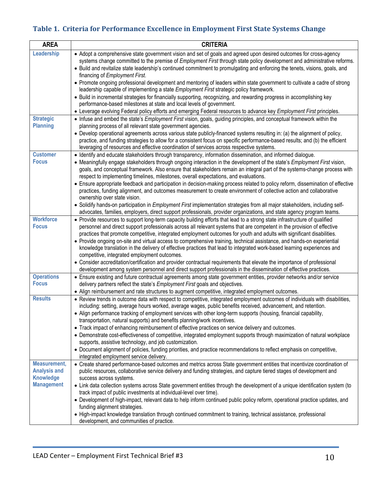# **Table 1. Criteria for Performance Excellence in Employment First State Systems Change**

| <b>AREA</b>                                             | <b>CRITERIA</b>                                                                                                                                                                                                                                                                                                                                                                                                  |
|---------------------------------------------------------|------------------------------------------------------------------------------------------------------------------------------------------------------------------------------------------------------------------------------------------------------------------------------------------------------------------------------------------------------------------------------------------------------------------|
| Leadership                                              | • Adopt a comprehensive state government vision and set of goals and agreed upon desired outcomes for cross-agency<br>systems change committed to the premise of Employment First through state policy development and administrative reforms.<br>• Build and revitalize state leadership's continued commitment to promulgating and enforcing the tenets, visions, goals, and<br>financing of Employment First. |
|                                                         | • Promote ongoing professional development and mentoring of leaders within state government to cultivate a cadre of strong<br>leadership capable of implementing a state Employment First strategic policy framework.                                                                                                                                                                                            |
|                                                         | • Build in incremental strategies for financially supporting, recognizing, and rewarding progress in accomplishing key<br>performance-based milestones at state and local levels of government.<br>• Leverage evolving Federal policy efforts and emerging Federal resources to advance key Employment First principles.                                                                                         |
| <b>Strategic</b>                                        | • Infuse and embed the state's Employment First vision, goals, guiding principles, and conceptual framework within the                                                                                                                                                                                                                                                                                           |
| <b>Planning</b>                                         | planning process of all relevant state government agencies.                                                                                                                                                                                                                                                                                                                                                      |
|                                                         | • Develop operational agreements across various state publicly-financed systems resulting in: (a) the alignment of policy,                                                                                                                                                                                                                                                                                       |
|                                                         | practice, and funding strategies to allow for a consistent focus on specific performance-based results; and (b) the efficient<br>leveraging of resources and effective coordination of services across respective systems.                                                                                                                                                                                       |
| <b>Customer</b>                                         | · Identify and educate stakeholders through transparency, information dissemination, and informed dialogue.                                                                                                                                                                                                                                                                                                      |
| <b>Focus</b>                                            | • Meaningfully engage stakeholders through ongoing interaction in the development of the state's Employment First vision,<br>goals, and conceptual framework. Also ensure that stakeholders remain an integral part of the systems-change process with<br>respect to implementing timelines, milestones, overall expectations, and evaluations.                                                                  |
|                                                         | • Ensure appropriate feedback and participation in decision-making process related to policy reform, dissemination of effective<br>practices, funding alignment, and outcomes measurement to create environment of collective action and collaborative<br>ownership over state vision.                                                                                                                           |
|                                                         | · Solidify hands-on participation in Employment First implementation strategies from all major stakeholders, including self-<br>advocates, families, employers, direct support professionals, provider organizations, and state agency program teams.                                                                                                                                                            |
| <b>Workforce</b><br><b>Focus</b>                        | • Provide resources to support long-term capacity building efforts that lead to a strong state infrastructure of qualified<br>personnel and direct support professionals across all relevant systems that are competent in the provision of effective<br>practices that promote competitive, integrated employment outcomes for youth and adults with significant disabilities.                                  |
|                                                         | • Provide ongoing on-site and virtual access to comprehensive training, technical assistance, and hands-on experiential<br>knowledge translation in the delivery of effective practices that lead to integrated work-based learning experiences and                                                                                                                                                              |
|                                                         | competitive, integrated employment outcomes.                                                                                                                                                                                                                                                                                                                                                                     |
|                                                         | • Consider accreditation/certification and provider contractual requirements that elevate the importance of professional                                                                                                                                                                                                                                                                                         |
| <b>Operations</b>                                       | development among system personnel and direct support professionals in the dissemination of effective practices.                                                                                                                                                                                                                                                                                                 |
| <b>Focus</b>                                            | • Ensure existing and future contractual agreements among state government entities, provider networks and/or service<br>delivery partners reflect the state's Employment First goals and objectives.<br>• Align reimbursement and rate structures to augment competitive, integrated employment outcomes.                                                                                                       |
| <b>Results</b>                                          | • Review trends in outcome data with respect to competitive, integrated employment outcomes of individuals with disabilities,                                                                                                                                                                                                                                                                                    |
|                                                         | including: setting, average hours worked, average wages, public benefits received, advancement, and retention.                                                                                                                                                                                                                                                                                                   |
|                                                         | • Align performance tracking of employment services with other long-term supports (housing, financial capability,                                                                                                                                                                                                                                                                                                |
|                                                         | transportation, natural supports) and benefits planning/work incentives.                                                                                                                                                                                                                                                                                                                                         |
|                                                         | • Track impact of enhancing reimbursement of effective practices on service delivery and outcomes.                                                                                                                                                                                                                                                                                                               |
|                                                         | • Demonstrate cost-effectiveness of competitive, integrated employment supports through maximization of natural workplace<br>supports, assistive technology, and job customization.                                                                                                                                                                                                                              |
|                                                         | • Document alignment of policies, funding priorities, and practice recommendations to reflect emphasis on competitive,<br>integrated employment service delivery.                                                                                                                                                                                                                                                |
| Measurement,<br><b>Analysis and</b><br><b>Knowledge</b> | • Create shared performance-based outcomes and metrics across State government entities that incentivize coordination of<br>public resources, collaborative service delivery and funding strategies, and capture tiered stages of development and<br>success across systems.                                                                                                                                     |
| <b>Management</b>                                       | • Link data collection systems across State government entities through the development of a unique identification system (to<br>track impact of public investments at individual-level over time).                                                                                                                                                                                                              |
|                                                         | • Development of high-impact, relevant data to help inform continued public policy reform, operational practice updates, and<br>funding alignment strategies.                                                                                                                                                                                                                                                    |
|                                                         | • High-impact knowledge translation through continued commitment to training, technical assistance, professional<br>development, and communities of practice.                                                                                                                                                                                                                                                    |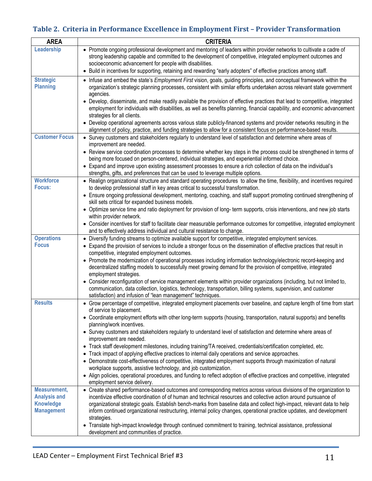# **Table 2. Criteria in Performance Excellence in Employment First – Provider Transformation**

| <b>AREA</b>                             | <b>CRITERIA</b>                                                                                                                                                                                                                                                                                             |
|-----------------------------------------|-------------------------------------------------------------------------------------------------------------------------------------------------------------------------------------------------------------------------------------------------------------------------------------------------------------|
| Leadership                              | • Promote ongoing professional development and mentoring of leaders within provider networks to cultivate a cadre of<br>strong leadership capable and committed to the development of competitive, integrated employment outcomes and                                                                       |
|                                         | socioeconomic advancement for people with disabilities.<br>• Build in incentives for supporting, retaining and rewarding "early adopters" of effective practices among staff.                                                                                                                               |
| <b>Strategic</b><br><b>Planning</b>     | • Infuse and embed the state's <i>Employment First</i> vision, goals, guiding principles, and conceptual framework within the<br>organization's strategic planning processes, consistent with similar efforts undertaken across relevant state government<br>agencies.                                      |
|                                         | • Develop, disseminate, and make readily available the provision of effective practices that lead to competitive, integrated<br>employment for individuals with disabilities, as well as benefits planning, financial capability, and economic advancement<br>strategies for all clients.                   |
|                                         | • Develop operational agreements across various state publicly-financed systems and provider networks resulting in the<br>alignment of policy, practice, and funding strategies to allow for a consistent focus on performance-based results.                                                               |
| <b>Customer Focus</b>                   | • Survey customers and stakeholders regularly to understand level of satisfaction and determine where areas of<br>improvement are needed.                                                                                                                                                                   |
|                                         | • Review service coordination processes to determine whether key steps in the process could be strengthened in terms of<br>being more focused on person-centered, individual strategies, and experiential informed choice.                                                                                  |
|                                         | • Expand and improve upon existing assessment processes to ensure a rich collection of data on the individual's<br>strengths, gifts, and preferences that can be used to leverage multiple options.                                                                                                         |
| <b>Workforce</b><br>Focus:              | • Realign organizational structure and standard operating procedures to allow the time, flexibility, and incentives required<br>to develop professional staff in key areas critical to successful transformation.                                                                                           |
|                                         | • Ensure ongoing professional development, mentoring, coaching, and staff support promoting continued strengthening of<br>skill sets critical for expanded business models.                                                                                                                                 |
|                                         | • Optimize service time and ratio deployment for provision of long- term supports, crisis interventions, and new job starts<br>within provider network.                                                                                                                                                     |
|                                         | • Consider incentives for staff to facilitate clear measurable performance outcomes for competitive, integrated employment<br>and to effectively address individual and cultural resistance to change.                                                                                                      |
| <b>Operations</b>                       | • Diversify funding streams to optimize available support for competitive, integrated employment services.                                                                                                                                                                                                  |
| <b>Focus</b>                            | • Expand the provision of services to include a stronger focus on the dissemination of effective practices that result in<br>competitive, integrated employment outcomes.                                                                                                                                   |
|                                         | • Promote the modernization of operational processes including information technology/electronic record-keeping and<br>decentralized staffing models to successfully meet growing demand for the provision of competitive, integrated<br>employment strategies.                                             |
|                                         | • Consider reconfiguration of service management elements within provider organizations (including, but not limited to,<br>communication, data collection, logistics, technology, transportation, billing systems, supervision, and customer<br>satisfaction) and infusion of "lean management" techniques. |
| <b>Results</b>                          | • Grow percentage of competitive, integrated employment placements over baseline, and capture length of time from start<br>of service to placement.                                                                                                                                                         |
|                                         | • Coordinate employment efforts with other long-term supports (housing, transportation, natural supports) and benefits<br>planning/work incentives.                                                                                                                                                         |
|                                         | • Survey customers and stakeholders regularly to understand level of satisfaction and determine where areas of<br>improvement are needed.                                                                                                                                                                   |
|                                         | • Track staff development milestones, including training/TA received, credentials/certification completed, etc.                                                                                                                                                                                             |
|                                         | • Track impact of applying effective practices to internal daily operations and service approaches.                                                                                                                                                                                                         |
|                                         | • Demonstrate cost-effectiveness of competitive, integrated employment supports through maximization of natural<br>workplace supports, assistive technology, and job customization.                                                                                                                         |
|                                         | • Align policies, operational procedures, and funding to reflect adoption of effective practices and competitive, integrated                                                                                                                                                                                |
|                                         | employment service delivery.                                                                                                                                                                                                                                                                                |
| <b>Measurement,</b>                     | • Create shared performance-based outcomes and corresponding metrics across various divisions of the organization to                                                                                                                                                                                        |
| <b>Analysis and</b><br><b>Knowledge</b> | incentivize effective coordination of of human and technical resources and collective action around pursuance of<br>organizational strategic goals. Establish bench-marks from baseline data and collect high-impact, relevant data to help                                                                 |
| <b>Management</b>                       | inform continued organizational restructuring, internal policy changes, operational practice updates, and development                                                                                                                                                                                       |
|                                         | strategies.                                                                                                                                                                                                                                                                                                 |
|                                         | • Translate high-impact knowledge through continued commitment to training, technical assistance, professional<br>development and communities of practice.                                                                                                                                                  |
|                                         |                                                                                                                                                                                                                                                                                                             |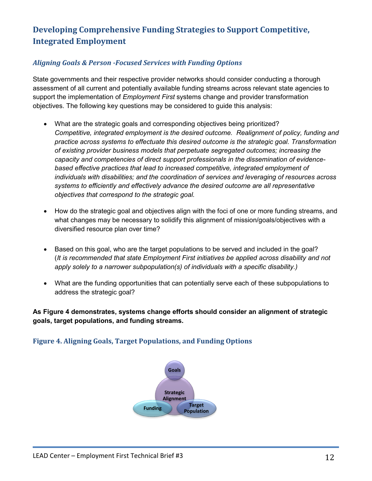# **Developing Comprehensive Funding Strategies to Support Competitive, Integrated Employment**

### *Aligning Goals & Person -Focused Services with Funding Options*

State governments and their respective provider networks should consider conducting a thorough assessment of all current and potentially available funding streams across relevant state agencies to support the implementation of *Employment First* systems change and provider transformation objectives. The following key questions may be considered to guide this analysis:

- What are the strategic goals and corresponding objectives being prioritized? *Competitive, integrated employment is the desired outcome. Realignment of policy, funding and practice across systems to effectuate this desired outcome is the strategic goal. Transformation of existing provider business models that perpetuate segregated outcomes; increasing the capacity and competencies of direct support professionals in the dissemination of evidencebased effective practices that lead to increased competitive, integrated employment of individuals with disabilities; and the coordination of services and leveraging of resources across systems to efficiently and effectively advance the desired outcome are all representative objectives that correspond to the strategic goal.*
- How do the strategic goal and objectives align with the foci of one or more funding streams, and what changes may be necessary to solidify this alignment of mission/goals/objectives with a diversified resource plan over time?
- Based on this goal, who are the target populations to be served and included in the goal? (*It is recommended that state Employment First initiatives be applied across disability and not apply solely to a narrower subpopulation(s) of individuals with a specific disability.)*
- What are the funding opportunities that can potentially serve each of these subpopulations to address the strategic goal?

**As Figure 4 demonstrates, systems change efforts should consider an alignment of strategic goals, target populations, and funding streams.**

### **Figure 4. Aligning Goals, Target Populations, and Funding Options**

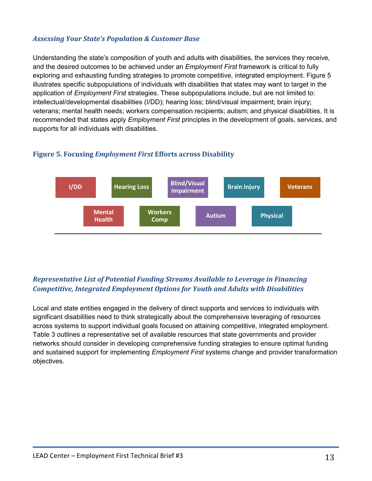#### *Assessing Your State's Population & Customer Base*

Understanding the state's composition of youth and adults with disabilities, the services they receive, and the desired outcomes to be achieved under an *Employment First* framework is critical to fully exploring and exhausting funding strategies to promote competitive, integrated employment. Figure 5 illustrates specific subpopulations of individuals with disabilities that states may want to target in the application of *Employment First* strategies. These subpopulations include, but are not limited to: intellectual/developmental disabilities (I/DD); hearing loss; blind/visual impairment; brain injury; veterans; mental health needs; workers compensation recipients; autism; and physical disabilities. It is recommended that states apply *Employment First* principles in the development of goals, services, and supports for all individuals with disabilities.



#### **Figure 5. Focusing** *Employment First* **Efforts across Disability**

## *Representative List of Potential Funding Streams Available to Leverage in Financing Competitive, Integrated Employment Options for Youth and Adults with Disabilities*

Local and state entities engaged in the delivery of direct supports and services to individuals with significant disabilities need to think strategically about the comprehensive leveraging of resources across systems to support individual goals focused on attaining competitive, integrated employment. Table 3 outlines a representative set of available resources that state governments and provider networks should consider in developing comprehensive funding strategies to ensure optimal funding and sustained support for implementing *Employment First* systems change and provider transformation objectives.